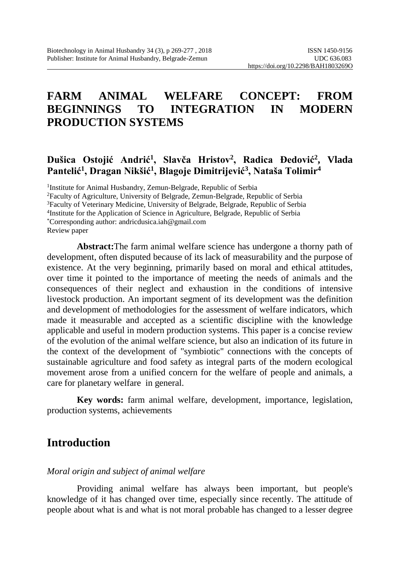# **FARM ANIMAL WELFARE CONCEPT: FROM BEGINNINGS TO INTEGRATION IN MODERN PRODUCTION SYSTEMS**

### **Dušica Ostojić Andrić<sup>1</sup> , Slavča Hristov<sup>2</sup> , Radica Đedović<sup>2</sup> , Vlada Pantelić<sup>1</sup> , Dragan Nikšić<sup>1</sup> , Blagoje Dimitrijević<sup>3</sup> , Nataša Tolimir<sup>4</sup>**

<sup>1</sup>Institute for Animal Husbandry, Zemun-Belgrade, Republic of Serbia <sup>2</sup>Faculty of Agriculture, University of Belgrade, Zemun-Belgrade, Republic of Serbia <sup>3</sup>Faculty of Veterinary Medicine, University of Belgrade, Belgrade, Republic of Serbia 4 Institute for the Application of Science in Agriculture, Belgrade, Republic of Serbia \*Corresponding author: andricdusica.iah@gmail.com Review paper

**Abstract:**The farm animal welfare science has undergone a thorny path of development, often disputed because of its lack of measurability and the purpose of existence. At the very beginning, primarily based on moral and ethical attitudes, over time it pointed to the importance of meeting the needs of animals and the consequences of their neglect and exhaustion in the conditions of intensive livestock production. An important segment of its development was the definition and development of methodologies for the assessment of welfare indicators, which made it measurable and accepted as a scientific discipline with the knowledge applicable and useful in modern production systems. This paper is a concise review of the evolution of the animal welfare science, but also an indication of its future in the context of the development of "symbiotic" connections with the concepts of sustainable agriculture and food safety as integral parts of the modern ecological movement arose from a unified concern for the welfare of people and animals, a care for planetary welfare in general.

**Key words:** farm animal welfare, development, importance, legislation, production systems, achievements

# **Introduction**

#### *Moral origin and subject of animal welfare*

Providing animal welfare has always been important, but people's knowledge of it has changed over time, especially since recently. The attitude of people about what is and what is not moral probable has changed to a lesser degree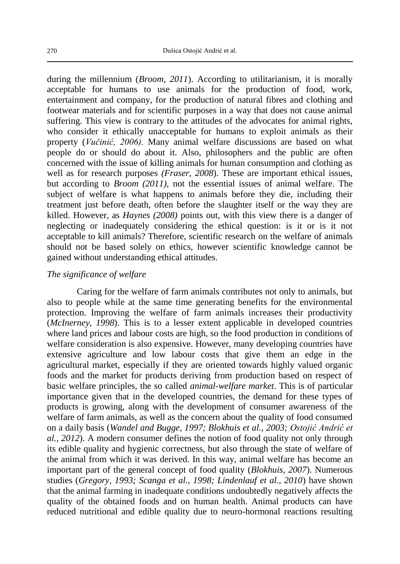during the millennium (*Broom, 2011*). According to utilitarianism, it is morally acceptable for humans to use animals for the production of food, work, entertainment and company, for the production of natural fibres and clothing and footwear materials and for scientific purposes in a way that does not cause animal suffering. This view is contrary to the attitudes of the advocates for animal rights, who consider it ethically unacceptable for humans to exploit animals as their property (*Vučinić, 2006).* Many animal welfare discussions are based on what people do or should do about it. Also, philosophers and the public are often concerned with the issue of killing animals for human consumption and clothing as well as for research purposes *(Fraser, 2008*). These are important ethical issues, but according to *Broom (2011),* not the essential issues of animal welfare. The subject of welfare is what happens to animals before they die, including their treatment just before death, often before the slaughter itself or the way they are killed. However, as *Haynes (2008)* points out, with this view there is a danger of neglecting or inadequately considering the ethical question: is it or is it not acceptable to kill animals? Therefore, scientific research on the welfare of animals should not be based solely on ethics, however scientific knowledge cannot be gained without understanding ethical attitudes.

#### *The significance of welfare*

Caring for the welfare of farm animals contributes not only to animals, but also to people while at the same time generating benefits for the environmental protection. Improving the welfare of farm animals increases their productivity (*McInerney, 1998*). This is to a lesser extent applicable in developed countries where land prices and labour costs are high, so the food production in conditions of welfare consideration is also expensive. However, many developing countries have extensive agriculture and low labour costs that give them an edge in the agricultural market, especially if they are oriented towards highly valued organic foods and the market for products deriving from production based on respect of basic welfare principles, the so called *animal-welfare market*. This is of particular importance given that in the developed countries, the demand for these types of products is growing, along with the development of consumer awareness of the welfare of farm animals, as well as the concern about the quality of food consumed on a daily basis (*Wandel and Bugge, 1997; Blokhuis et al., 2003; Ostojić Andrić et al., 2012*). A modern consumer defines the notion of food quality not only through its edible quality and hygienic correctness, but also through the state of welfare of the animal from which it was derived. In this way, animal welfare has become an important part of the general concept of food quality (*Blokhuis, 2007*). Numerous studies (*Gregory, 1993; Scanga et al., 1998; Lindenlauf et al., 2010*) have shown that the animal farming in inadequate conditions undoubtedly negatively affects the quality of the obtained foods and on human health. Animal products can have reduced nutritional and edible quality due to neuro-hormonal reactions resulting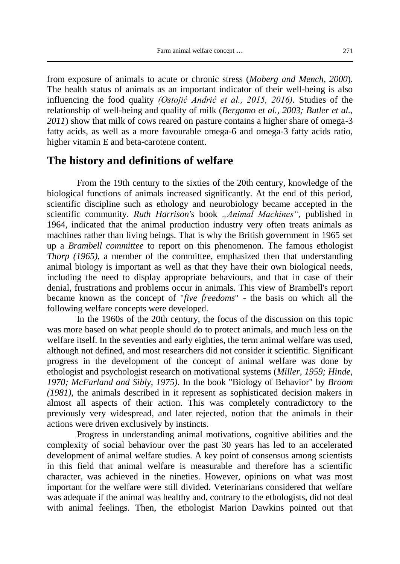from exposure of animals to acute or chronic stress (*Moberg and Mench, 2000*). The health status of animals as an important indicator of their well-being is also influencing the food quality *(Ostojić Andrić et al., 2015, 2016).* Studies of the relationship of well-being and quality of milk (*Bergamo et al., 2003; Butler et al., 2011*) show that milk of cows reared on pasture contains a higher share of omega-3 fatty acids, as well as a more favourable omega-6 and omega-3 fatty acids ratio, higher vitamin E and beta-carotene content.

#### **The history and definitions of welfare**

From the 19th century to the sixties of the 20th century, knowledge of the biological functions of animals increased significantly. At the end of this period, scientific discipline such as ethology and neurobiology became accepted in the scientific community. *Ruth Harrison's* book *"Animal Machines"*, published in 1964, indicated that the animal production industry very often treats animals as machines rather than living beings. That is why the British government in 1965 set up a *Brambell committee* to report on this phenomenon. The famous ethologist *Thorp (1965)*, a member of the committee, emphasized then that understanding animal biology is important as well as that they have their own biological needs, including the need to display appropriate behaviours, and that in case of their denial, frustrations and problems occur in animals. This view of Brambell's report became known as the concept of "*five freedoms*" - the basis on which all the following welfare concepts were developed.

In the 1960s of the 20th century, the focus of the discussion on this topic was more based on what people should do to protect animals, and much less on the welfare itself. In the seventies and early eighties, the term animal welfare was used, although not defined, and most researchers did not consider it scientific. Significant progress in the development of the concept of animal welfare was done by ethologist and psychologist research on motivational systems (*Miller, 1959; Hinde, 1970; McFarland and Sibly, 1975)*. In the book "Biology of Behavior" by *Broom (1981)*, the animals described in it represent as sophisticated decision makers in almost all aspects of their action. This was completely contradictory to the previously very widespread, and later rejected, notion that the animals in their actions were driven exclusively by instincts.

Progress in understanding animal motivations, cognitive abilities and the complexity of social behaviour over the past 30 years has led to an accelerated development of animal welfare studies. A key point of consensus among scientists in this field that animal welfare is measurable and therefore has a scientific character, was achieved in the nineties. However, opinions on what was most important for the welfare were still divided. Veterinarians considered that welfare was adequate if the animal was healthy and, contrary to the ethologists, did not deal with animal feelings. Then, the ethologist Marion Dawkins pointed out that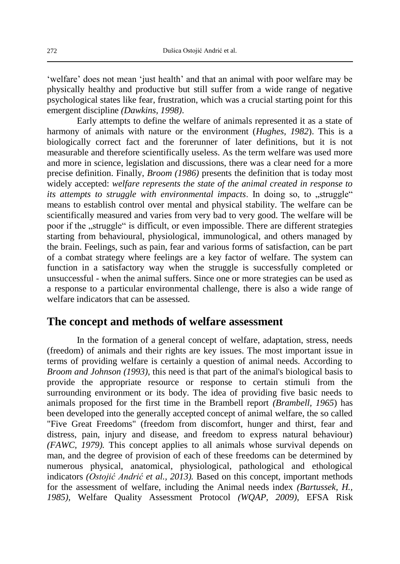'welfare' does not mean 'just health' and that an animal with poor welfare may be physically healthy and productive but still suffer from a wide range of negative psychological states like fear, frustration, which was a crucial starting point for this emergent discipline *(Dawkins, 1998)*.

Early attempts to define the welfare of animals represented it as a state of harmony of animals with nature or the environment (*Hughes, 1982*). This is a biologically correct fact and the forerunner of later definitions, but it is not measurable and therefore scientifically useless. As the term welfare was used more and more in science, legislation and discussions, there was a clear need for a more precise definition. Finally, *Broom (1986)* presents the definition that is today most widely accepted: *welfare represents the state of the animal created in response to its attempts to struggle with environmental impacts*. In doing so, to "struggle" means to establish control over mental and physical stability. The welfare can be scientifically measured and varies from very bad to very good. The welfare will be poor if the "struggle" is difficult, or even impossible. There are different strategies starting from behavioural, physiological, immunological, and others managed by the brain. Feelings, such as pain, fear and various forms of satisfaction, can be part of a combat strategy where feelings are a key factor of welfare. The system can function in a satisfactory way when the struggle is successfully completed or unsuccessful - when the animal suffers. Since one or more strategies can be used as a response to a particular environmental challenge, there is also a wide range of welfare indicators that can be assessed.

### **The concept and methods of welfare assessment**

In the formation of a general concept of welfare, adaptation, stress, needs (freedom) of animals and their rights are key issues. The most important issue in terms of providing welfare is certainly a question of animal needs. According to *Broom and Johnson (1993),* this need is that part of the animal's biological basis to provide the appropriate resource or response to certain stimuli from the surrounding environment or its body. The idea of providing five basic needs to animals proposed for the first time in the Brambell report *(Brambell, 1965*) has been developed into the generally accepted concept of animal welfare, the so called "Five Great Freedoms" (freedom from discomfort, hunger and thirst, fear and distress, pain, injury and disease, and freedom to express natural behaviour) *(FAWC, 1979).* This concept applies to all animals whose survival depends on man, and the degree of provision of each of these freedoms can be determined by numerous physical, anatomical, physiological, pathological and ethological indicators *(Ostojić Andrić et al., 2013).* Based on this concept, important methods for the assessment of welfare, including the Animal needs index *(Bartussek, H., 1985),* Welfare Quality Assessment Protocol *(WQAP, 2009),* EFSA Risk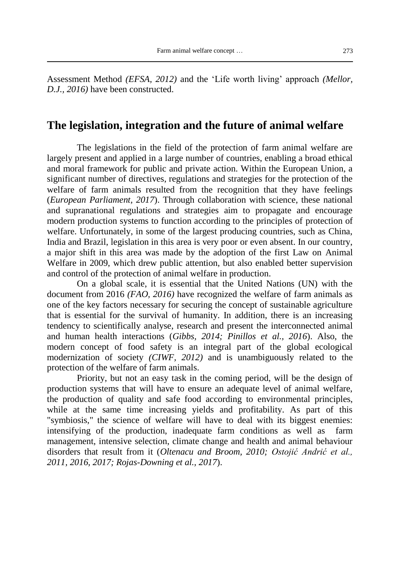Assessment Method *(EFSA, 2012)* and the 'Life worth living' approach *(Mellor, D.J., 2016)* have been constructed.

#### **The legislation, integration and the future of animal welfare**

The legislations in the field of the protection of farm animal welfare are largely present and applied in a large number of countries, enabling a broad ethical and moral framework for public and private action. Within the European Union, a significant number of directives, regulations and strategies for the protection of the welfare of farm animals resulted from the recognition that they have feelings (*European Parliament, 2017*). Through collaboration with science, these national and supranational regulations and strategies aim to propagate and encourage modern production systems to function according to the principles of protection of welfare. Unfortunately, in some of the largest producing countries, such as China, India and Brazil, legislation in this area is very poor or even absent. In our country, a major shift in this area was made by the adoption of the first Law on Animal Welfare in 2009, which drew public attention, but also enabled better supervision and control of the protection of animal welfare in production.

On a global scale, it is essential that the United Nations (UN) with the document from 2016 *(FAO, 2016)* have recognized the welfare of farm animals as one of the key factors necessary for securing the concept of sustainable agriculture that is essential for the survival of humanity. In addition, there is an increasing tendency to scientifically analyse, research and present the interconnected animal and human health interactions (*Gibbs, 2014; Pinillos et al., 2016*). Also, the modern concept of food safety is an integral part of the global ecological modernization of society *(CIWF, 2012)* and is unambiguously related to the protection of the welfare of farm animals.

Priority, but not an easy task in the coming period, will be the design of production systems that will have to ensure an adequate level of animal welfare, the production of quality and safe food according to environmental principles, while at the same time increasing yields and profitability. As part of this "symbiosis," the science of welfare will have to deal with its biggest enemies: intensifying of the production, inadequate farm conditions as well as farm management, intensive selection, climate change and health and animal behaviour disorders that result from it (*Oltenacu and Broom, 2010; Ostojić Andrić et al., 2011, 2016, 2017; Rojas-Downing et al., 2017*).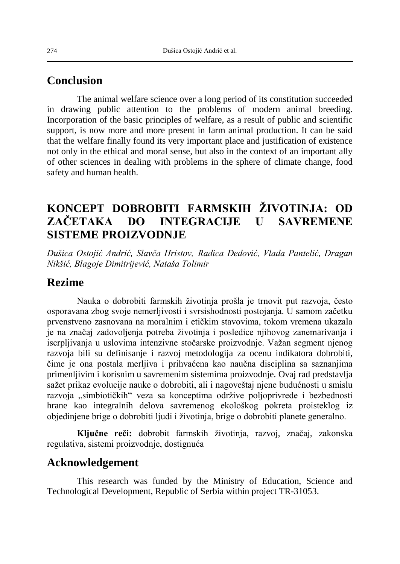### **Conclusion**

The animal welfare science over a long period of its constitution succeeded in drawing public attention to the problems of modern animal breeding. Incorporation of the basic principles of welfare, as a result of public and scientific support, is now more and more present in farm animal production. It can be said that the welfare finally found its very important place and justification of existence not only in the ethical and moral sense, but also in the context of an important ally of other sciences in dealing with problems in the sphere of climate change, food safety and human health.

# **KONCEPT DOBROBITI FARMSKIH ŽIVOTINJA: OD ZAČETAKA DO INTEGRACIJE U SAVREMENE SISTEME PROIZVODNJE**

*Dušica Ostojić Andrić, Slavča Hristov, Radica Đedović, Vlada Pantelić, Dragan Nikšić, Blagoje Dimitrijević, Nataša Tolimir*

#### **Rezime**

Nauka o dobrobiti farmskih životinja prošla je trnovit put razvoja, često osporavana zbog svoje nemerljivosti i svrsishodnosti postojanja. U samom začetku prvenstveno zasnovana na moralnim i etičkim stavovima, tokom vremena ukazala je na značaj zadovoljenja potreba životinja i posledice njihovog zanemarivanja i iscrpljivanja u uslovima intenzivne stočarske proizvodnje. Važan segment njenog razvoja bili su definisanje i razvoj metodologija za ocenu indikatora dobrobiti, čime je ona postala merljiva i prihvaćena kao naučna disciplina sa saznanjima primenljivim i korisnim u savremenim sistemima proizvodnje. Ovaj rad predstavlja sažet prikaz evolucije nauke o dobrobiti, ali i nagoveštaj njene budućnosti u smislu razvoja "simbiotičkih" veza sa konceptima održive poljoprivrede i bezbednosti hrane kao integralnih delova savremenog ekološkog pokreta proisteklog iz objedinjene brige o dobrobiti ljudi i životinja, brige o dobrobiti planete generalno.

**Ključne reči:** dobrobit farmskih životinja, razvoj, značaj, zakonska regulativa, sistemi proizvodnje, dostignuća

## **Acknowledgement**

This research was funded by the Ministry of Education, Science and Technological Development, Republic of Serbia within project TR-31053.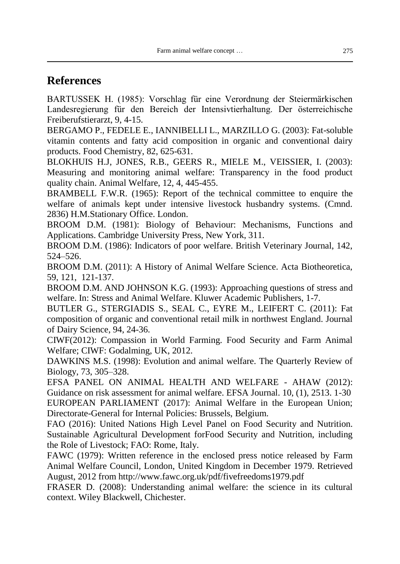## **References**

BARTUSSEK H. (1985): Vorschlag für eine Verordnung der Steiermärkischen Landesregierung für den Bereich der Intensivtierhaltung. Der österreichische Freiberufstierarzt, 9, 4-15.

BERGAMO P., FEDELE E., IANNIBELLI L., MARZILLO G. (2003): Fat-soluble vitamin contents and fatty acid composition in organic and conventional dairy products. Food Chemistry, 82, 625-631.

BLOKHUIS H.J, JONES, R.B., GEERS R., MIELE M., VEISSIER, I. (2003): Measuring and monitoring animal welfare: Transparency in the food product quality chain. Animal Welfare, 12, 4, 445-455.

BRAMBELL F.W.R. (1965): Report of the technical committee to enquire the welfare of animals kept under intensive livestock husbandry systems. (Cmnd. 2836) H.M.Stationary Office. London.

BROOM D.M. (1981): Biology of Behaviour: Mechanisms, Functions and Applications. Cambridge University Press, New York, 311.

BROOM D.M. (1986): Indicators of poor welfare. British Veterinary Journal, 142, 524–526.

BROOM D.M. (2011): A History of Animal Welfare Science. Acta Biotheoretica, 59, 121, 121-137.

BROOM D.M. AND JOHNSON K.G. (1993): Approaching questions of stress and welfare. In: Stress and Animal Welfare. Kluwer Academic Publishers, 1-7.

BUTLER G., STERGIADIS S., SEAL C., EYRE M., LEIFERT C. (2011): Fat composition of organic and conventional retail milk in northwest England. Journal of Dairy Science, 94, 24-36.

CIWF(2012): Compassion in World Farming. Food Security and Farm Animal Welfare; CIWF: Godalming, UK, 2012.

DAWKINS M.S. (1998): Evolution and animal welfare. The Quarterly Review of Biology, 73, 305–328.

EFSA PANEL ON ANIMAL HEALTH AND WELFARE - AHAW (2012): Guidance on risk assessment for animal welfare. EFSA Journal. 10, (1), 2513. 1-30 EUROPEAN PARLIAMENT (2017): Animal Welfare in the European Union; Directorate-General for Internal Policies: Brussels, Belgium.

FAO (2016): United Nations High Level Panel on Food Security and Nutrition. Sustainable Agricultural Development forFood Security and Nutrition, including the Role of Livestock; FAO: Rome, Italy.

FAWC (1979): Written reference in the enclosed press notice released by Farm Animal Welfare Council, London, United Kingdom in December 1979. Retrieved August, 2012 from http://www.fawc.org.uk/pdf/fivefreedoms1979.pdf

FRASER D. (2008): Understanding animal welfare: the science in its cultural context. Wiley Blackwell, Chichester.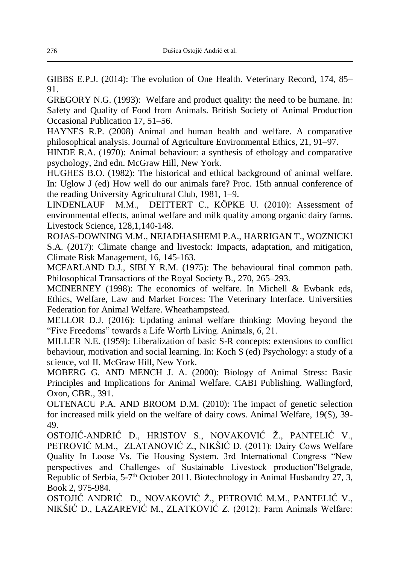GIBBS E.P.J. (2014): The evolution of One Health. Veterinary Record, 174, 85– 91.

GREGORY N.G. (1993): Welfare and product quality: the need to be humane. In: Safety and Quality of Food from Animals. British Society of Animal Production Occasional Publication 17, 51–56.

HAYNES R.P. (2008) Animal and human health and welfare. A comparative philosophical analysis. Journal of Agriculture Environmental Ethics, 21, 91–97.

HINDE R.A. (1970): Animal behaviour: a synthesis of ethology and comparative psychology, 2nd edn. McGraw Hill, New York.

HUGHES B.O. (1982): The historical and ethical background of animal welfare. In: Uglow J (ed) How well do our animals fare? Proc. 15th annual conference of the reading University Agricultural Club, 1981, 1–9.

LINDENLAUF M.M., DEITTERT C., KÖPKE U. (2010): Assessment of environmental effects, animal welfare and milk quality among organic dairy farms. Livestock Science, 128,1,140-148.

ROJAS-DOWNING M.M., NEJADHASHEMI P.A., HARRIGAN T., WOZNICKI S.A. (2017): Climate change and livestock: Impacts, adaptation, and mitigation, Climate Risk Management, 16, 145-163.

MCFARLAND D.J., SIBLY R.M. (1975): The behavioural final common path. Philosophical Transactions of the Royal Society B., 270, 265–293.

MCINERNEY (1998): The economics of welfare. In Michell & Ewbank eds, Ethics, Welfare, Law and Market Forces: The Veterinary Interface. Universities Federation for Animal Welfare. Wheathampstead.

MELLOR D.J. (2016): Updating animal welfare thinking: Moving beyond the "Five Freedoms" towards a Life Worth Living. Animals, 6, 21.

MILLER N.E. (1959): Liberalization of basic S-R concepts: extensions to conflict behaviour, motivation and social learning. In: Koch S (ed) Psychology: a study of a science, vol II. McGraw Hill, New York.

MOBERG G. AND MENCH J. A. (2000): Biology of Animal Stress: Basic Principles and Implications for Animal Welfare. CABI Publishing. Wallingford, Oxon, GBR., 391.

OLTENACU P.A. AND BROOM D.M. (2010): The impact of genetic selection for increased milk yield on the welfare of dairy cows. Animal Welfare, 19(S), 39- 49.

OSTOJIĆ-ANDRIĆ D., HRISTOV S., NOVAKOVIĆ Ž., PANTELIĆ V., PETROVIĆ M.M., ZLATANOVIĆ Z., NIKŠIĆ D. (2011): Dairy Cows Welfare Quality In Loose Vs. Tie Housing System. 3rd International Congress "New perspectives and Challenges of Sustainable Livestock production"Belgrade, Republic of Serbia, 5-7<sup>th</sup> October 2011. Biotechnology in Animal Husbandry 27, 3, Book 2, 975-984.

OSTOJIĆ ANDRIĆ D., NOVAKOVIĆ Ž., PETROVIĆ M.M., PANTELIĆ V., NIKŠIĆ D., LAZAREVIĆ M., ZLATKOVIĆ Z. (2012): Farm Animals Welfare: